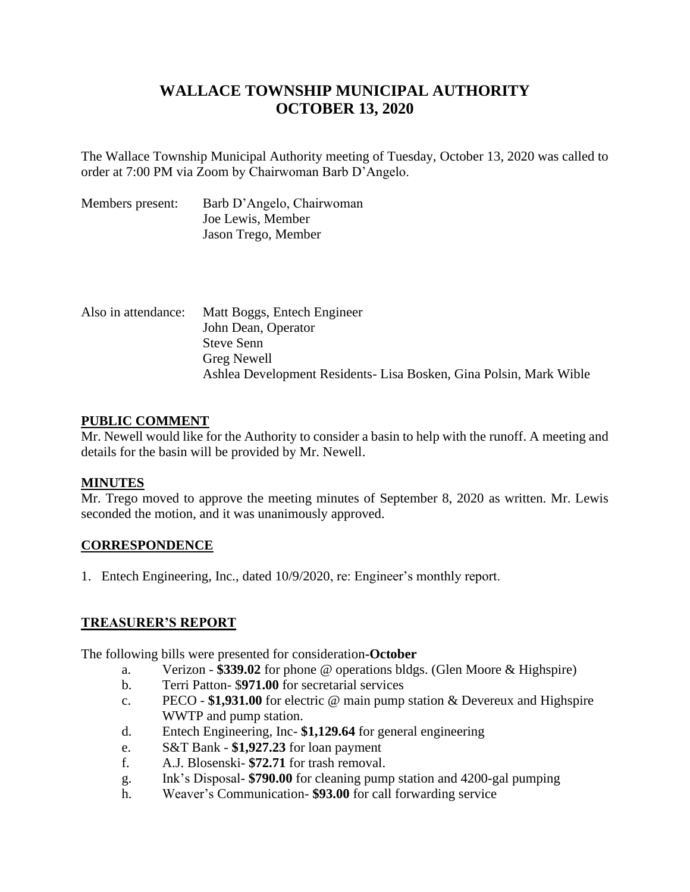# **WALLACE TOWNSHIP MUNICIPAL AUTHORITY OCTOBER 13, 2020**

The Wallace Township Municipal Authority meeting of Tuesday, October 13, 2020 was called to order at 7:00 PM via Zoom by Chairwoman Barb D'Angelo.

| Members present: | Barb D'Angelo, Chairwoman |
|------------------|---------------------------|
|                  | Joe Lewis, Member         |
|                  | Jason Trego, Member       |

| Also in attendance: | Matt Boggs, Entech Engineer                                        |
|---------------------|--------------------------------------------------------------------|
|                     | John Dean, Operator                                                |
|                     | <b>Steve Senn</b>                                                  |
|                     | <b>Greg Newell</b>                                                 |
|                     | Ashlea Development Residents- Lisa Bosken, Gina Polsin, Mark Wible |

# **PUBLIC COMMENT**

Mr. Newell would like for the Authority to consider a basin to help with the runoff. A meeting and details for the basin will be provided by Mr. Newell.

## **MINUTES**

Mr. Trego moved to approve the meeting minutes of September 8, 2020 as written. Mr. Lewis seconded the motion, and it was unanimously approved.

## **CORRESPONDENCE**

1. Entech Engineering, Inc., dated 10/9/2020, re: Engineer's monthly report.

# **TREASURER'S REPORT**

The following bills were presented for consideration**-October**

- a. Verizon **\$339.02** for phone @ operations bldgs. (Glen Moore & Highspire)
- b. Terri Patton- \$**971.00** for secretarial services
- c. PECO **\$1,931.00** for electric @ main pump station & Devereux and Highspire WWTP and pump station.
- d. Entech Engineering, Inc- **\$1,129.64** for general engineering
- e. S&T Bank **\$1,927.23** for loan payment
- f. A.J. Blosenski- **\$72.71** for trash removal.
- g. Ink's Disposal- **\$790.00** for cleaning pump station and 4200-gal pumping
- h. Weaver's Communication- **\$93.00** for call forwarding service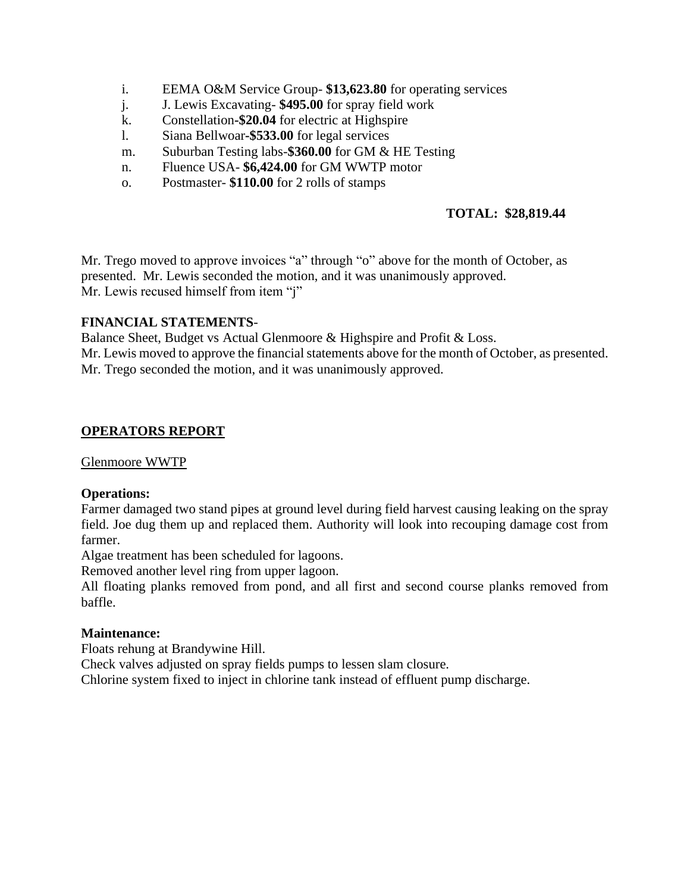- i. EEMA O&M Service Group- **\$13,623.80** for operating services
- j. J. Lewis Excavating- **\$495.00** for spray field work
- k. Constellation**-\$20.04** for electric at Highspire
- l. Siana Bellwoar**-\$533.00** for legal services
- m. Suburban Testing labs-**\$360.00** for GM & HE Testing
- n. Fluence USA- **\$6,424.00** for GM WWTP motor
- o. Postmaster- **\$110.00** for 2 rolls of stamps

# **TOTAL: \$28,819.44**

Mr. Trego moved to approve invoices "a" through "o" above for the month of October, as presented. Mr. Lewis seconded the motion, and it was unanimously approved. Mr. Lewis recused himself from item "j"

## **FINANCIAL STATEMENTS**-

Balance Sheet, Budget vs Actual Glenmoore & Highspire and Profit & Loss. Mr. Lewis moved to approve the financial statements above for the month of October, as presented. Mr. Trego seconded the motion, and it was unanimously approved.

# **OPERATORS REPORT**

Glenmoore WWTP

## **Operations:**

Farmer damaged two stand pipes at ground level during field harvest causing leaking on the spray field. Joe dug them up and replaced them. Authority will look into recouping damage cost from farmer.

Algae treatment has been scheduled for lagoons.

Removed another level ring from upper lagoon.

All floating planks removed from pond, and all first and second course planks removed from baffle.

## **Maintenance:**

Floats rehung at Brandywine Hill.

Check valves adjusted on spray fields pumps to lessen slam closure.

Chlorine system fixed to inject in chlorine tank instead of effluent pump discharge.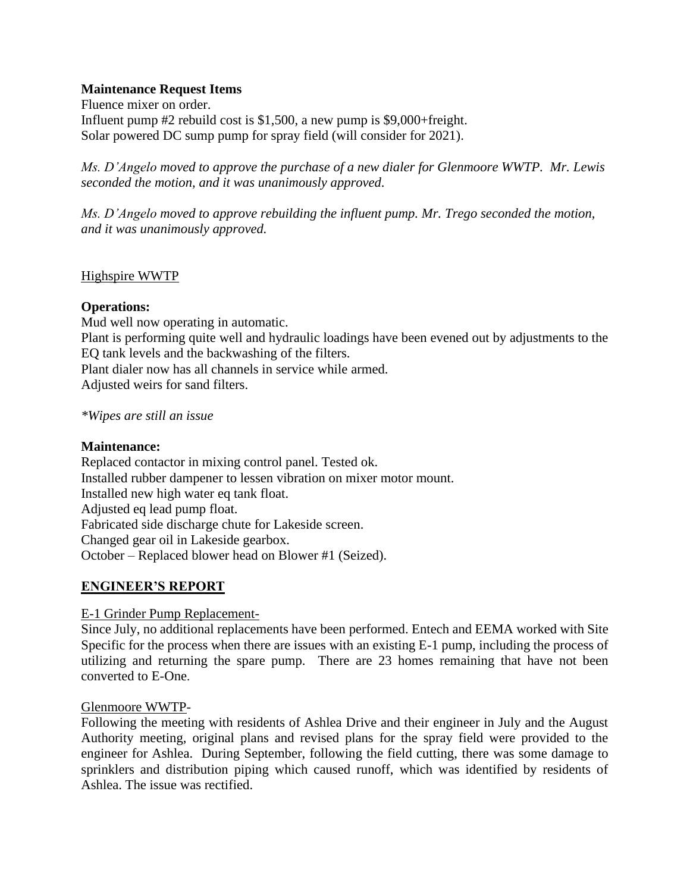# **Maintenance Request Items**

Fluence mixer on order. Influent pump #2 rebuild cost is \$1,500, a new pump is \$9,000+freight. Solar powered DC sump pump for spray field (will consider for 2021).

*Ms. D'Angelo moved to approve the purchase of a new dialer for Glenmoore WWTP. Mr. Lewis seconded the motion, and it was unanimously approved.*

*Ms. D'Angelo moved to approve rebuilding the influent pump. Mr. Trego seconded the motion, and it was unanimously approved.*

## Highspire WWTP

## **Operations:**

Mud well now operating in automatic. Plant is performing quite well and hydraulic loadings have been evened out by adjustments to the EQ tank levels and the backwashing of the filters. Plant dialer now has all channels in service while armed. Adjusted weirs for sand filters.

*\*Wipes are still an issue*

## **Maintenance:**

Replaced contactor in mixing control panel. Tested ok. Installed rubber dampener to lessen vibration on mixer motor mount. Installed new high water eq tank float. Adjusted eq lead pump float. Fabricated side discharge chute for Lakeside screen. Changed gear oil in Lakeside gearbox. October – Replaced blower head on Blower #1 (Seized).

## **ENGINEER'S REPORT**

## E-1 Grinder Pump Replacement-

Since July, no additional replacements have been performed. Entech and EEMA worked with Site Specific for the process when there are issues with an existing E-1 pump, including the process of utilizing and returning the spare pump. There are 23 homes remaining that have not been converted to E-One.

#### Glenmoore WWTP-

Following the meeting with residents of Ashlea Drive and their engineer in July and the August Authority meeting, original plans and revised plans for the spray field were provided to the engineer for Ashlea. During September, following the field cutting, there was some damage to sprinklers and distribution piping which caused runoff, which was identified by residents of Ashlea. The issue was rectified.